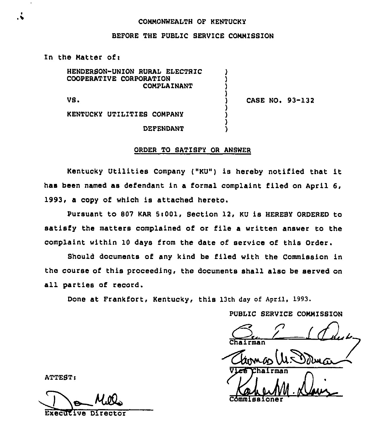#### COMMONWEALTH OP KENTUCKY

## BEFORE THE PUBLIC SERVICE CONNISSION

) ) ) )

) ) ) )

In the Matter of:

HENDERSON-UNION RURAL ELECTRIC COOPERATIVE CORPORATION COMPLAINANT

VS <sup>~</sup>

) CASE NO. 93-132

KENTUCKY UTILITIES COMPANY

DEPENDANT

### ORDER TO SATIBFY OR ANSWER

Kentucky Utilities Company ("KU") is hereby notified that it has been named as defendant in a formal complaint filed on April 6, 1993, a copy of which is attached hereto.

Pursuant to 807 KAR 5:001, Section 12, KU is HEREBY ORDERED to satisfy the matters complained of or file a written answer to the complaint within 10 days from the date of service of this Order.

Should documents of any kind be filed with the Commission in the course of this proceeding, the documents shall also be served on all parties of record.

Done at Frankfort, Kentucky, this 13th day of April, 1993.

PUBLIC SERVICE CONNISSION

Chairman 1 Que **Commissione** 

ATTEST:

ExecUEive Director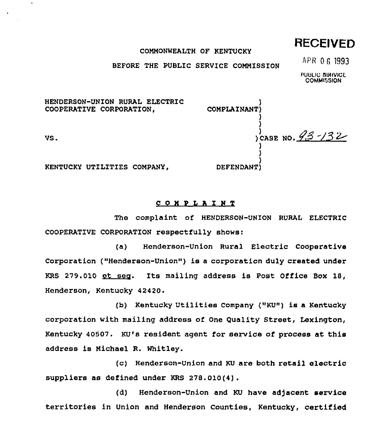RECEIVED

#### COMMONWEALTH OF KENTUCKY

BEFORE THE PUBLIC SERVICE COMMISSION

APR 0 6 1993

PUULIC SBIIVICL **COMMISSION** 

CASE NO. P~~ /3 ~

)

) )

) )

> ) ) )

COMPLAINANT)

DEFENDANT)

HENDERSON-UNION RURAL ELECTRIC COOPERATIVE CORPORATION,

VS.

KENTUCKY UT1LITIES COMPANY,

COH'PLAINT

The complaint of HENDERSON-UNION RURAL ELECTRIC COOPERATIVE CORPORATION respectfully shows:

(a) Henderson-Union Rural Electric Cooperative Corporation ("Henderson-Union") is a corporation duly created under KRS 279.010 et seo. Its mailing address is Post Office Box 18, Henderson, Kentucky 42420.

(b) Kentucky Utilities Company ("KU") is a Kentucky corporation with mailing address of One Quality Street, Lexington, Kentucky 40507. KU's resident agent for service of process at this address is Michael R. Whitley.

(c) Henderson-Union and KU are both retail electric suppliers as defined under KRS 278.010(4).

(d) Henderson-Union and KU have adjacent service territories in Union and Henderson Counties, Kentucky, certified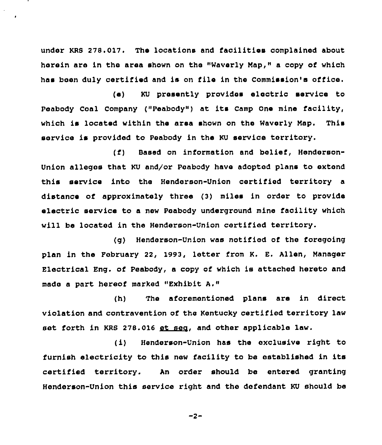under KRS 278.017. The locations and facilities complained about herein are in the area shown on the "Waverly Map," a copy of which has been duly certified and is on file in the Commission'a office.

(e) KU presently provides electric service to Peabody Coal Company ("Peabody") at its Camp One mine facility, which is located within the area shown on the Waverly Map. This service is provided to Peabody in the KU service territory.

(f) Based on information and belief, Henderson-Union alleges that KU and/or Peabody have adopted plans to extend this service into the Henderson-Union certified territory a distance of approximately three {3) miles in order to provide electric service to a new Peabody underground mine facility which will be located in the Henderson-Unicn certified territory.

(g) Henderson-Union was notified of the foregoing plan in the Pebruary 22, 1993, letter from K. E. Allen, Manager Electrical Eng. of Peabody, <sup>a</sup> copy of which is attached hereto and made a part hereof marked "Exhibit A."

(h) The aforementioned plans are in direct violation and contravention of the Kentucky certified territory law set forth in KRS 278.016 et seg, and other applicable law.

(i) Henderson-Union has the exclusive right to furnish electricity to this new facility to be established in its certified territory. An order should be entered granting Henderson-Union this service right and the defendant KU should be

 $-2-$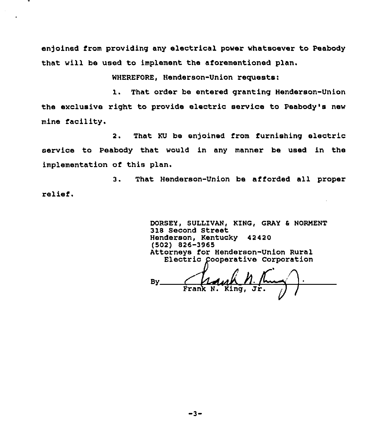enjoined from providing any electrical power whatsoever to Peabody that will be used to implement the aforementioned plan.

WHEREFORE, Henderson-Union requests:

1. That order be entered granting Henderson-Union the exclusive right to provide electric service to Peabody's new mine facility.

2. That KU be enjoined from furnishing electric service to Peabody that would in any manner be used in the implementation of this plan.

3. That Henderson-Union be afforded all proper relief.

> DORSEY, SULLIVAN, KING, GRAY & NORMENT 318 Second Street Henderson, Kentucky 42420 (5Q2) 826-3865 Attorneys for Henderson-Union Rural Electric ooperative Corporation

By Frank N.

 $-3-$